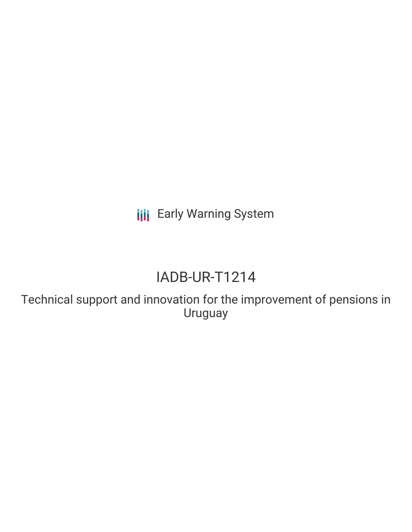**III** Early Warning System

# IADB-UR-T1214

Technical support and innovation for the improvement of pensions in Uruguay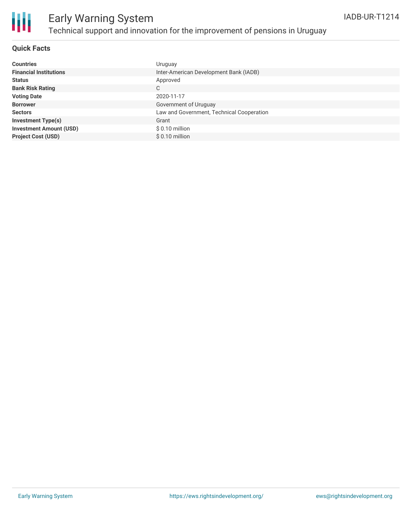

#### **Quick Facts**

| <b>Countries</b>               | Uruguay                                   |
|--------------------------------|-------------------------------------------|
| <b>Financial Institutions</b>  | Inter-American Development Bank (IADB)    |
| <b>Status</b>                  | Approved                                  |
| <b>Bank Risk Rating</b>        | C                                         |
| <b>Voting Date</b>             | 2020-11-17                                |
| <b>Borrower</b>                | Government of Uruguay                     |
| <b>Sectors</b>                 | Law and Government, Technical Cooperation |
| <b>Investment Type(s)</b>      | Grant                                     |
| <b>Investment Amount (USD)</b> | $$0.10$ million                           |
| <b>Project Cost (USD)</b>      | $$0.10$ million                           |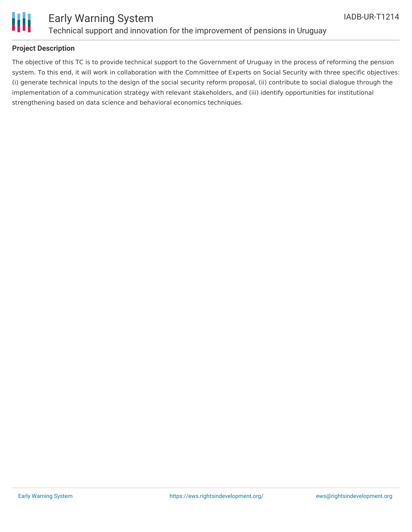

#### **Project Description**

The objective of this TC is to provide technical support to the Government of Uruguay in the process of reforming the pension system. To this end, it will work in collaboration with the Committee of Experts on Social Security with three specific objectives: (i) generate technical inputs to the design of the social security reform proposal, (ii) contribute to social dialogue through the implementation of a communication strategy with relevant stakeholders, and (iii) identify opportunities for institutional strengthening based on data science and behavioral economics techniques.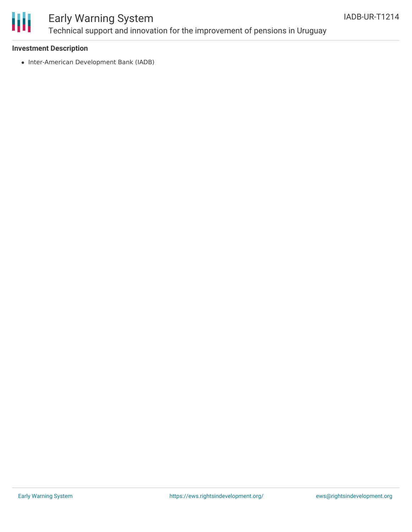

#### **Investment Description**

• Inter-American Development Bank (IADB)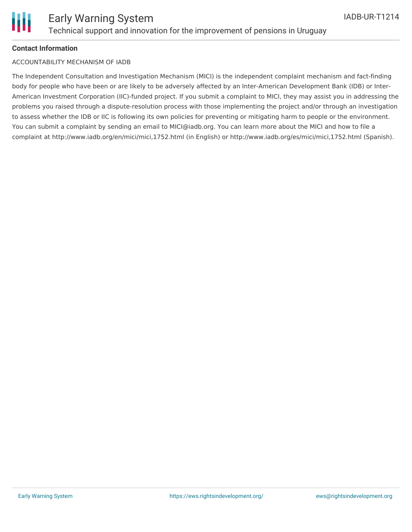

#### **Contact Information**

#### ACCOUNTABILITY MECHANISM OF IADB

The Independent Consultation and Investigation Mechanism (MICI) is the independent complaint mechanism and fact-finding body for people who have been or are likely to be adversely affected by an Inter-American Development Bank (IDB) or Inter-American Investment Corporation (IIC)-funded project. If you submit a complaint to MICI, they may assist you in addressing the problems you raised through a dispute-resolution process with those implementing the project and/or through an investigation to assess whether the IDB or IIC is following its own policies for preventing or mitigating harm to people or the environment. You can submit a complaint by sending an email to MICI@iadb.org. You can learn more about the MICI and how to file a complaint at http://www.iadb.org/en/mici/mici,1752.html (in English) or http://www.iadb.org/es/mici/mici,1752.html (Spanish).